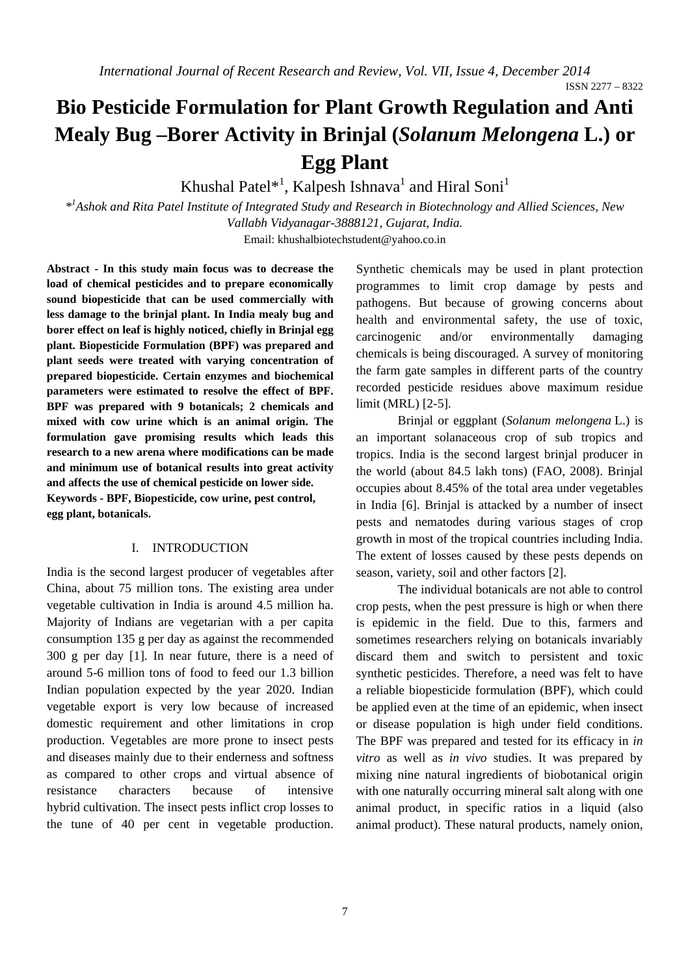ISSN 2277 – 8322

# **Bio Pesticide Formulation for Plant Growth Regulation and Anti Mealy Bug –Borer Activity in Brinjal (***Solanum Melongena* **L.) or Egg Plant**

Khushal Patel\*<sup>1</sup>, Kalpesh Ishnava<sup>1</sup> and Hiral Soni<sup>1</sup>

*\*1 Ashok and Rita Patel Institute of Integrated Study and Research in Biotechnology and Allied Sciences, New Vallabh Vidyanagar-3888121, Gujarat, India.* 

Email: khushalbiotechstudent@yahoo.co.in

**Abstract - In this study main focus was to decrease the load of chemical pesticides and to prepare economically sound biopesticide that can be used commercially with less damage to the brinjal plant. In India mealy bug and borer effect on leaf is highly noticed, chiefly in Brinjal egg plant. Biopesticide Formulation (BPF) was prepared and plant seeds were treated with varying concentration of prepared biopesticide. Certain enzymes and biochemical parameters were estimated to resolve the effect of BPF. BPF was prepared with 9 botanicals; 2 chemicals and mixed with cow urine which is an animal origin. The formulation gave promising results which leads this research to a new arena where modifications can be made and minimum use of botanical results into great activity and affects the use of chemical pesticide on lower side. Keywords - BPF, Biopesticide, cow urine, pest control, egg plant, botanicals.**

### I. INTRODUCTION

India is the second largest producer of vegetables after China, about 75 million tons. The existing area under vegetable cultivation in India is around 4.5 million ha. Majority of Indians are vegetarian with a per capita consumption 135 g per day as against the recommended 300 g per day [1]. In near future, there is a need of around 5-6 million tons of food to feed our 1.3 billion Indian population expected by the year 2020. Indian vegetable export is very low because of increased domestic requirement and other limitations in crop production. Vegetables are more prone to insect pests and diseases mainly due to their enderness and softness as compared to other crops and virtual absence of resistance characters because of intensive hybrid cultivation. The insect pests inflict crop losses to the tune of 40 per cent in vegetable production.

Synthetic chemicals may be used in plant protection programmes to limit crop damage by pests and pathogens. But because of growing concerns about health and environmental safety, the use of toxic, carcinogenic and/or environmentally damaging chemicals is being discouraged. A survey of monitoring the farm gate samples in different parts of the country recorded pesticide residues above maximum residue limit (MRL) [2-5].

Brinjal or eggplant (*Solanum melongena* L.) is an important solanaceous crop of sub tropics and tropics. India is the second largest brinjal producer in the world (about 84.5 lakh tons) (FAO, 2008). Brinjal occupies about 8.45% of the total area under vegetables in India [6]. Brinjal is attacked by a number of insect pests and nematodes during various stages of crop growth in most of the tropical countries including India. The extent of losses caused by these pests depends on season, variety, soil and other factors [2].

The individual botanicals are not able to control crop pests, when the pest pressure is high or when there is epidemic in the field. Due to this, farmers and sometimes researchers relying on botanicals invariably discard them and switch to persistent and toxic synthetic pesticides. Therefore, a need was felt to have a reliable biopesticide formulation (BPF), which could be applied even at the time of an epidemic, when insect or disease population is high under field conditions. The BPF was prepared and tested for its efficacy in *in vitro* as well as *in vivo* studies. It was prepared by mixing nine natural ingredients of biobotanical origin with one naturally occurring mineral salt along with one animal product, in specific ratios in a liquid (also animal product). These natural products, namely onion,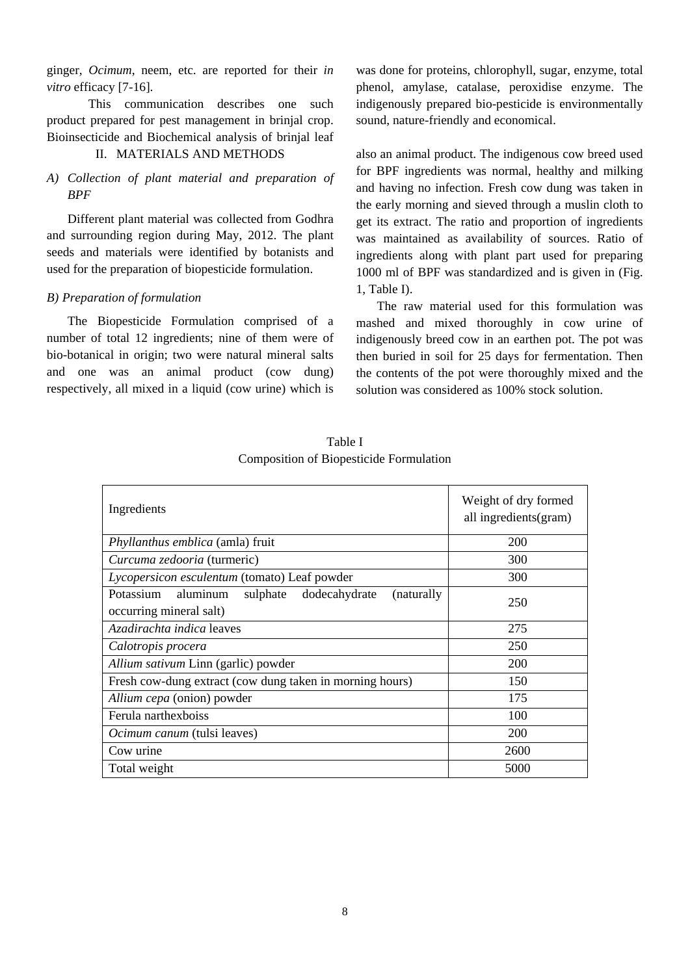ginger, *Ocimum*, neem, etc. are reported for their *in vitro* efficacy [7-16].

This communication describes one such product prepared for pest management in brinjal crop. Bioinsecticide and Biochemical analysis of brinjal leaf

# II. MATERIALS AND METHODS

# *A) Collection of plant material and preparation of BPF*

 Different plant material was collected from Godhra and surrounding region during May, 2012. The plant seeds and materials were identified by botanists and used for the preparation of biopesticide formulation.

# *B) Preparation of formulation*

 The Biopesticide Formulation comprised of a number of total 12 ingredients; nine of them were of bio-botanical in origin; two were natural mineral salts and one was an animal product (cow dung) respectively, all mixed in a liquid (cow urine) which is

was done for proteins, chlorophyll, sugar, enzyme, total phenol, amylase, catalase, peroxidise enzyme. The indigenously prepared bio-pesticide is environmentally sound, nature-friendly and economical.

also an animal product. The indigenous cow breed used for BPF ingredients was normal, healthy and milking and having no infection. Fresh cow dung was taken in the early morning and sieved through a muslin cloth to get its extract. The ratio and proportion of ingredients was maintained as availability of sources. Ratio of ingredients along with plant part used for preparing 1000 ml of BPF was standardized and is given in (Fig. 1, Table I).

 The raw material used for this formulation was mashed and mixed thoroughly in cow urine of indigenously breed cow in an earthen pot. The pot was then buried in soil for 25 days for fermentation. Then the contents of the pot were thoroughly mixed and the solution was considered as 100% stock solution.

| Ingredients                                                                                  | Weight of dry formed<br>all ingredients (gram) |
|----------------------------------------------------------------------------------------------|------------------------------------------------|
| <i>Phyllanthus emblica</i> (amla) fruit                                                      | 200                                            |
| Curcuma zedooria (turmeric)                                                                  | 300                                            |
| Lycopersicon esculentum (tomato) Leaf powder                                                 | 300                                            |
| Potassium<br>aluminum<br>dodecahydrate<br>sulphate<br>(naturally)<br>occurring mineral salt) | 250                                            |
| Azadirachta indica leaves                                                                    | 275                                            |
| Calotropis procera                                                                           | 250                                            |
| Allium sativum Linn (garlic) powder                                                          | <b>200</b>                                     |
| Fresh cow-dung extract (cow dung taken in morning hours)                                     | 150                                            |
| Allium cepa (onion) powder                                                                   | 175                                            |
| Ferula narthexboiss                                                                          | 100                                            |
| <i>Ocimum canum</i> (tulsi leaves)                                                           | <b>200</b>                                     |
| Cow urine                                                                                    | 2600                                           |
| Total weight                                                                                 | 5000                                           |

Table I Composition of Biopesticide Formulation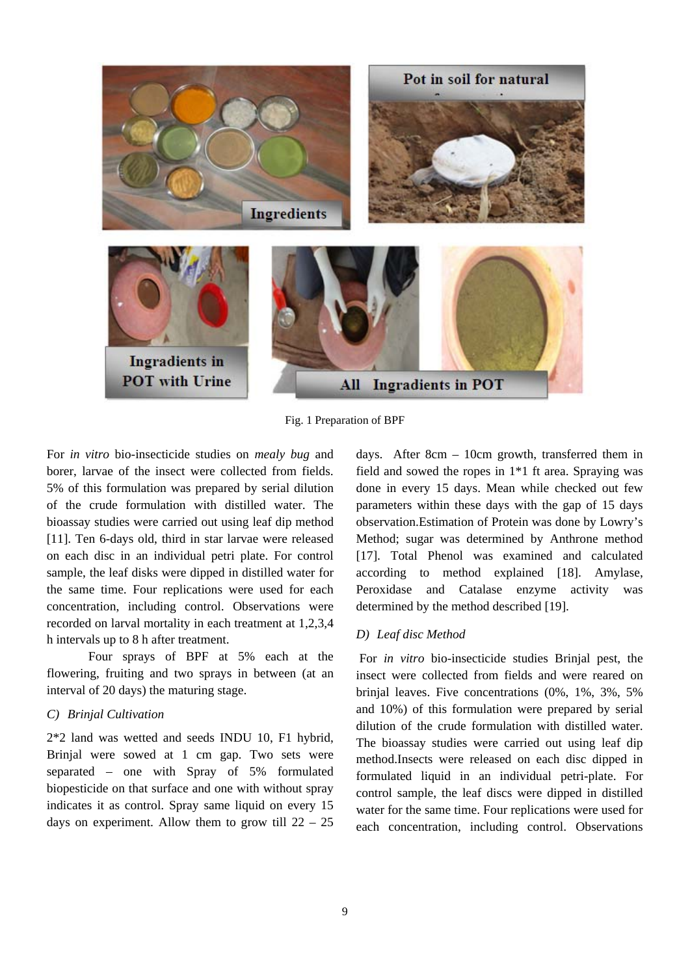

Fig. 1 Preparation of BPF

For *in vitro* bio-insecticide studies on *mealy bug* and borer, larvae of the insect were collected from fields. 5% of this formulation was prepared by serial dilution of the crude formulation with distilled water. The bioassay studies were carried out using leaf dip method [11]. Ten 6-days old, third in star larvae were released on each disc in an individual petri plate. For control sample, the leaf disks were dipped in distilled water for the same time. Four replications were used for each concentration, including control. Observations were recorded on larval mortality in each treatment at 1,2,3,4 h intervals up to 8 h after treatment.

 Four sprays of BPF at 5% each at the flowering, fruiting and two sprays in between (at an interval of 20 days) the maturing stage.

# *C) Brinjal Cultivation*

2\*2 land was wetted and seeds INDU 10, F1 hybrid, Brinjal were sowed at 1 cm gap. Two sets were separated – one with Spray of 5% formulated biopesticide on that surface and one with without spray indicates it as control. Spray same liquid on every 15 days on experiment. Allow them to grow till  $22 - 25$ 

days. After 8cm – 10cm growth, transferred them in field and sowed the ropes in 1\*1 ft area. Spraying was done in every 15 days. Mean while checked out few parameters within these days with the gap of 15 days observation.Estimation of Protein was done by Lowry's Method; sugar was determined by Anthrone method [17]. Total Phenol was examined and calculated according to method explained [18]. Amylase, Peroxidase and Catalase enzyme activity was determined by the method described [19].

## *D) Leaf disc Method*

 For *in vitro* bio-insecticide studies Brinjal pest, the insect were collected from fields and were reared on brinjal leaves. Five concentrations (0%, 1%, 3%, 5% and 10%) of this formulation were prepared by serial dilution of the crude formulation with distilled water. The bioassay studies were carried out using leaf dip method.Insects were released on each disc dipped in formulated liquid in an individual petri-plate. For control sample, the leaf discs were dipped in distilled water for the same time. Four replications were used for each concentration, including control. Observations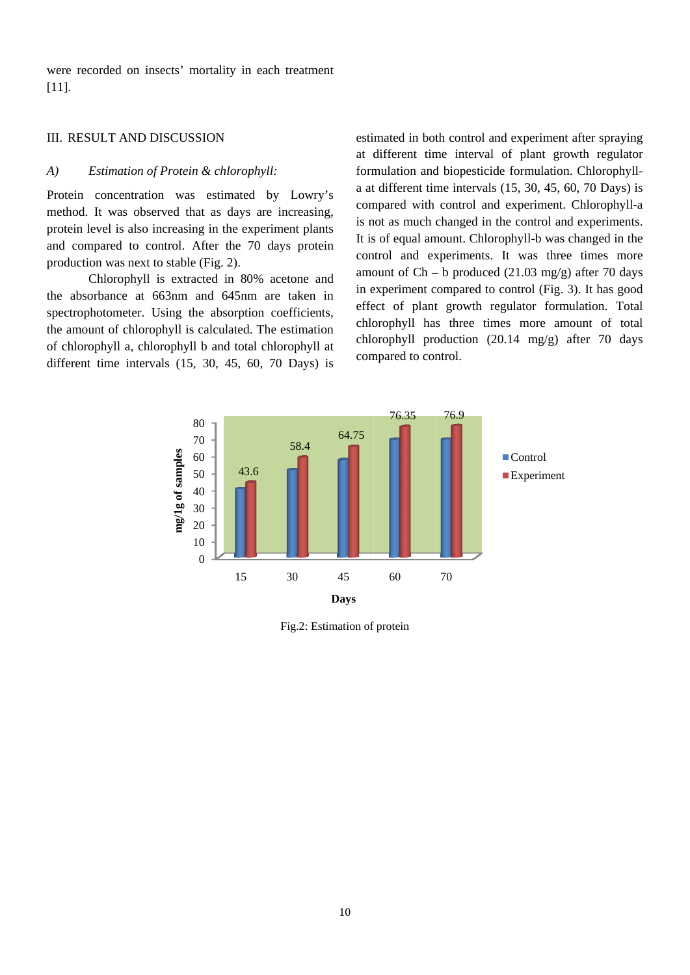were recorded on insects' mortality in each treatment  $[11]$ .

# **III RESULT AND DISCUSSION**

#### $A)$ Estimation of Protein & chlorophyll:

Protein concentration was estimated by Lowry's method. It was observed that as days are increasing, protein level is also increasing in the experiment plants and compared to control. After the 70 days protein production was next to stable (Fig. 2).

Chlorophyll is extracted in 80% acetone and the absorbance at 663nm and 645nm are taken in spectrophotometer. Using the absorption coefficients, the amount of chlorophyll is calculated. The estimation of chlorophyll a, chlorophyll b and total chlorophyll at different time intervals  $(15, 30, 45, 60, 70$  Days) is estimated in both control and experiment after spraying at different time interval of plant growth regulator formulation and biopesticide formulation. Chlorophylla at different time intervals  $(15, 30, 45, 60, 70$  Days) is compared with control and experiment. Chlorophyll-a is not as much changed in the control and experiments. It is of equal amount. Chlorophyll-b was changed in the control and experiments. It was three times more amount of  $Ch - b$  produced (21.03 mg/g) after 70 days in experiment compared to control (Fig. 3). It has good effect of plant growth regulator formulation. Total chlorophyll has three times more amount of total chlorophyll production  $(20.14 \text{ mg/g})$  after 70 days compared to control.



Fig.2: Estimation of protein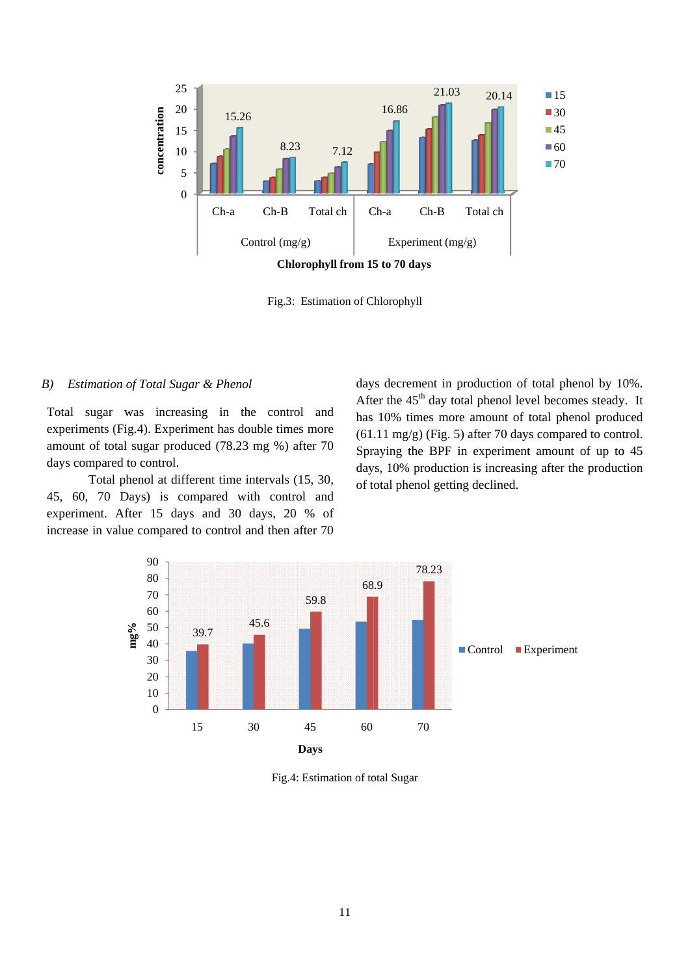

Fig.3: Estimation of Chlorophyll

#### Estimation of Total Sugar & Phenol  $B)$

Total sugar was increasing in the control and experiments (Fig.4). Experiment has double times more amount of total sugar produced (78.23 mg %) after 70 days compared to control.

Total phenol at different time intervals (15, 30, 45, 60, 70 Days) is compared with control and experiment. After 15 days and 30 days, 20 % of increase in value compared to control and then after 70

days decrement in production of total phenol by 10%. After the  $45<sup>th</sup>$  day total phenol level becomes steady. It has 10% times more amount of total phenol produced  $(61.11 \text{ mg/g})$  (Fig. 5) after 70 days compared to control. Spraying the BPF in experiment amount of up to 45 days, 10% production is increasing after the production of total phenol getting declined.



Fig.4: Estimation of total Sugar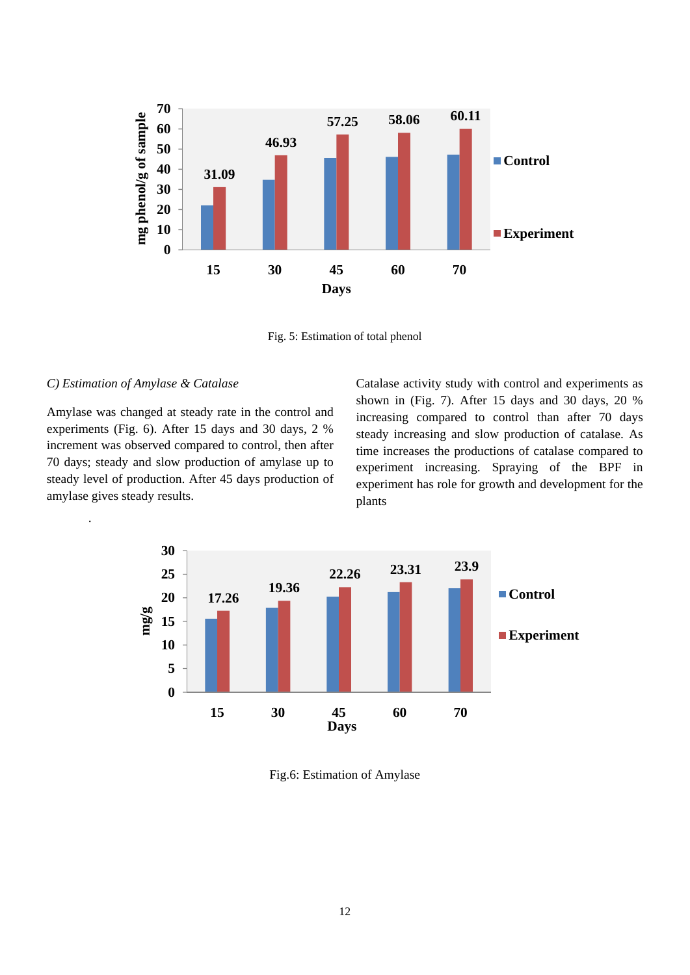

Fig. 5: Estimation of total phenol

## *C) Estimation of Amylase & Catalase*

.

Amylase was changed at steady rate in the control and experiments (Fig. 6). After 15 days and 30 days, 2 % increment was observed compared to control, then after 70 days; steady and slow production of amylase up to steady level of production. After 45 days production of amylase gives steady results.

Catalase activity study with control and experiments as shown in (Fig. 7). After 15 days and 30 days, 20 % increasing compared to control than after 70 days steady increasing and slow production of catalase. As time increases the productions of catalase compared to experiment increasing. Spraying of the BPF in experiment has role for growth and development for the plants



Fig.6: Estimation of Amylase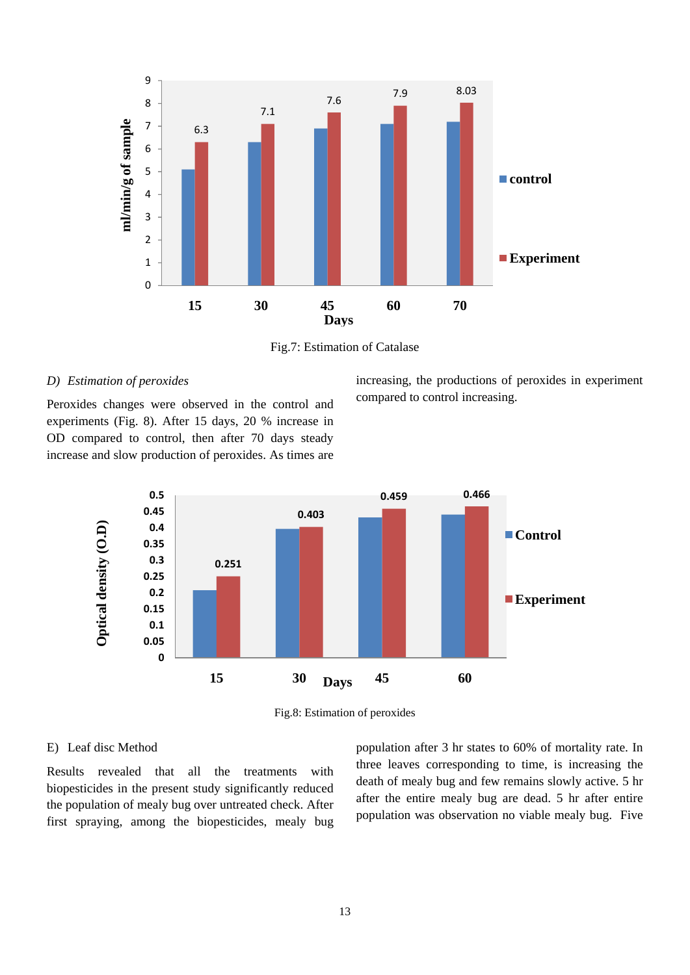

Fig.7: Estimation of Catalase

# *D) Estimation of peroxides*

Peroxides changes were observed in the control and experiments (Fig. 8). After 15 days, 20 % increase in OD compared to control, then after 70 days steady increase and slow production of peroxides. As times are

increasing, the productions of peroxides in experiment compared to control increasing.



Fig.8: Estimation of peroxides

### E) Leaf disc Method

Results revealed that all the treatments with biopesticides in the present study significantly reduced the population of mealy bug over untreated check. After first spraying, among the biopesticides, mealy bug population after 3 hr states to 60% of mortality rate. In three leaves corresponding to time, is increasing the death of mealy bug and few remains slowly active. 5 hr after the entire mealy bug are dead. 5 hr after entire population was observation no viable mealy bug. Five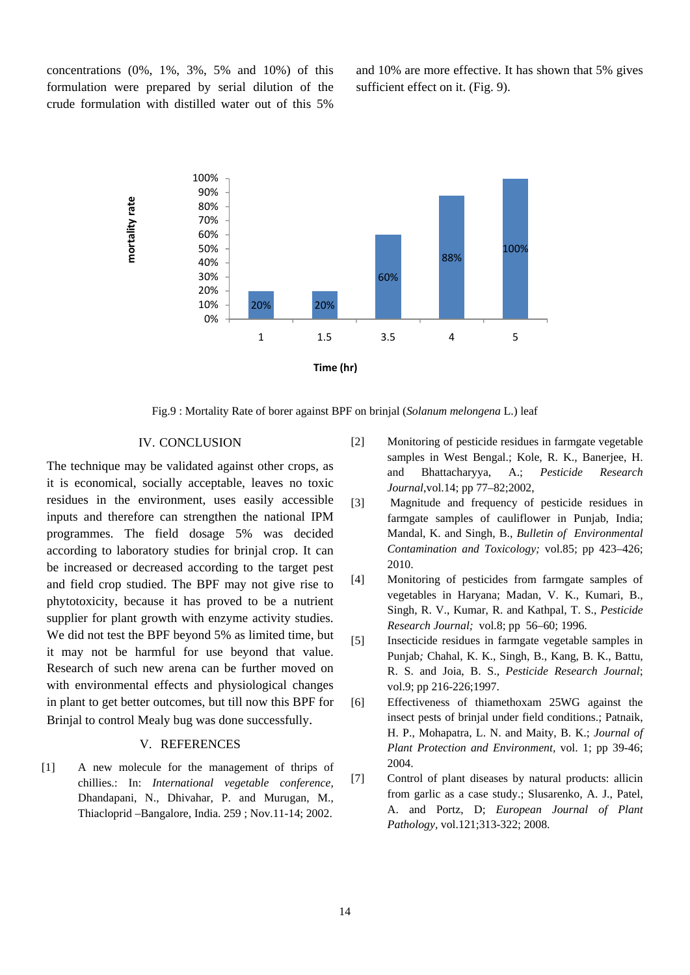concentrations (0%, 1%, 3%, 5% and 10%) of this formulation were prepared by serial dilution of the crude formulation with distilled water out of this 5%

and 10% are more effective. It has shown that 5% gives sufficient effect on it. (Fig. 9).



Fig.9 : Mortality Rate of borer against BPF on brinjal (*Solanum melongena* L.) leaf

# IV. CONCLUSION

The technique may be validated against other crops, as it is economical, socially acceptable, leaves no toxic residues in the environment, uses easily accessible inputs and therefore can strengthen the national IPM programmes. The field dosage 5% was decided according to laboratory studies for brinjal crop. It can be increased or decreased according to the target pest and field crop studied. The BPF may not give rise to phytotoxicity, because it has proved to be a nutrient supplier for plant growth with enzyme activity studies. We did not test the BPF beyond 5% as limited time, but it may not be harmful for use beyond that value. Research of such new arena can be further moved on with environmental effects and physiological changes in plant to get better outcomes, but till now this BPF for Brinjal to control Mealy bug was done successfully.

# V. REFERENCES

[1] A new molecule for the management of thrips of chillies.: In: *International vegetable conference,* Dhandapani, N., Dhivahar, P. and Murugan, M., Thiacloprid –Bangalore, India. 259 ; Nov.11-14; 2002.

- [2] Monitoring of pesticide residues in farmgate vegetable samples in West Bengal.; Kole, R. K., Banerjee, H. and Bhattacharyya, A.; *Pesticide Research Journal*,vol.14; pp 77–82;2002,
- [3] Magnitude and frequency of pesticide residues in farmgate samples of cauliflower in Punjab, India; Mandal, K. and Singh, B., *Bulletin of Environmental Contamination and Toxicology;* vol.85; pp 423–426; 2010.
- [4] Monitoring of pesticides from farmgate samples of vegetables in Haryana; Madan, V. K., Kumari, B., Singh, R. V., Kumar, R. and Kathpal, T. S., *Pesticide Research Journal;* vol.8; pp 56–60; 1996.
- [5] Insecticide residues in farmgate vegetable samples in Punjab*;* Chahal, K. K., Singh, B., Kang, B. K., Battu, R. S. and Joia, B. S., *Pesticide Research Journal*; vol.9; pp 216-226;1997.
- [6] Effectiveness of thiamethoxam 25WG against the insect pests of brinjal under field conditions.; Patnaik, H. P., Mohapatra, L. N. and Maity, B. K.; *Journal of Plant Protection and Environment,* vol. 1; pp 39-46; 2004.
- [7] Control of plant diseases by natural products: allicin from garlic as a case study.; Slusarenko, A. J., Patel, A. and Portz, D; *European Journal of Plant Pathology,* vol.121;313-322; 2008.